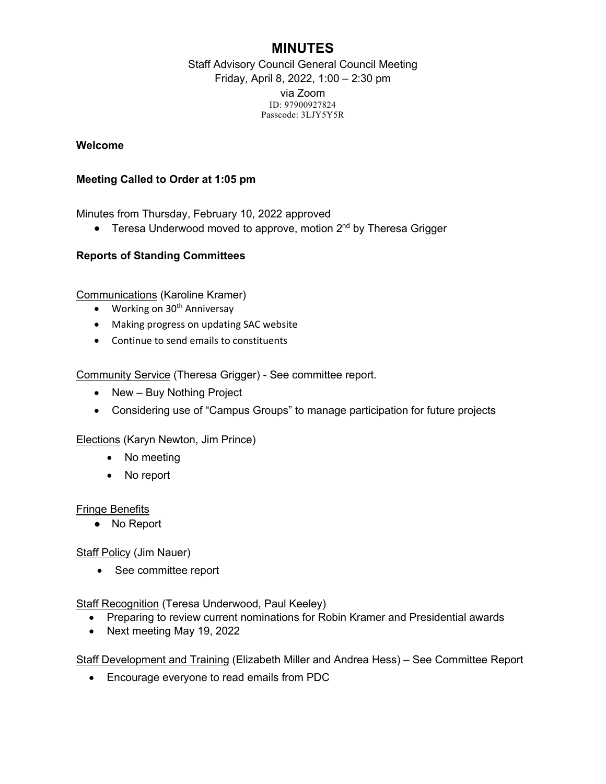# **MINUTES**

Staff Advisory Council General Council Meeting

Friday, April 8, 2022, 1:00 – 2:30 pm

via Zoom ID: 97900927824 Passcode: 3LJY5Y5R

### **Welcome**

## **Meeting Called to Order at 1:05 pm**

Minutes from Thursday, February 10, 2022 approved

• Teresa Underwood moved to approve, motion 2<sup>nd</sup> by Theresa Grigger

## **Reports of Standing Committees**

Communications (Karoline Kramer)

- Working on 30<sup>th</sup> Anniversay
- Making progress on updating SAC website
- Continue to send emails to constituents

Community Service (Theresa Grigger) - See committee report.

- New Buy Nothing Project
- Considering use of "Campus Groups" to manage participation for future projects

Elections (Karyn Newton, Jim Prince)

- No meeting
- No report

#### Fringe Benefits

● No Report

**Staff Policy (Jim Nauer)** 

• See committee report

Staff Recognition (Teresa Underwood, Paul Keeley)

- Preparing to review current nominations for Robin Kramer and Presidential awards
- Next meeting May 19, 2022

Staff Development and Training (Elizabeth Miller and Andrea Hess) – See Committee Report

• Encourage everyone to read emails from PDC